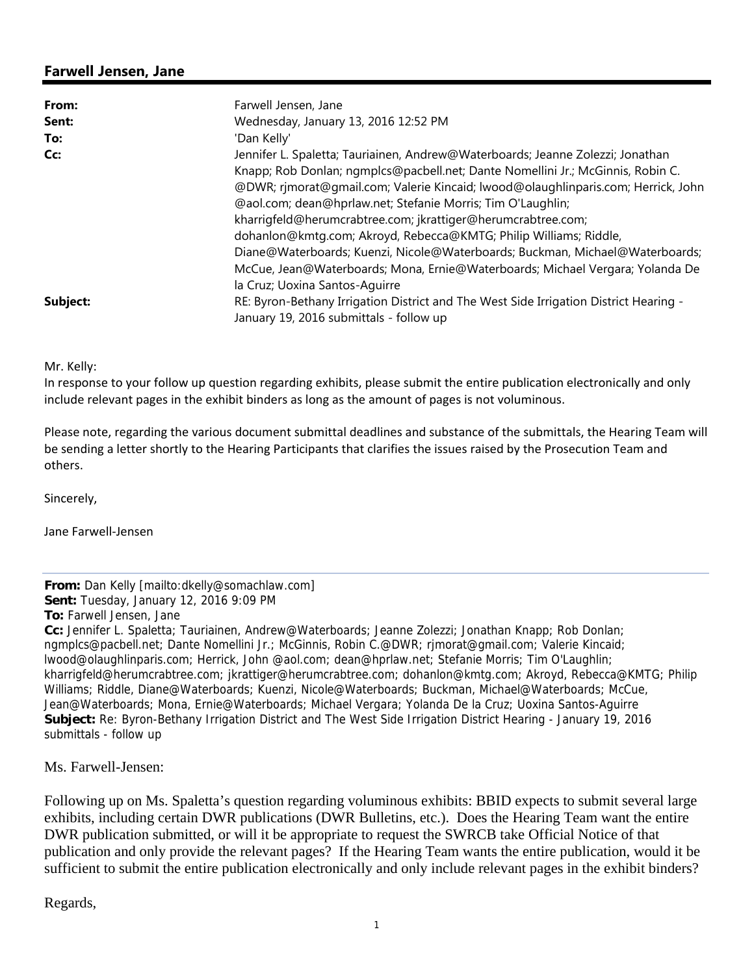## **Farwell Jensen, Jane**

| From:    | Farwell Jensen, Jane                                                                  |
|----------|---------------------------------------------------------------------------------------|
| Sent:    | Wednesday, January 13, 2016 12:52 PM                                                  |
| To:      | 'Dan Kelly'                                                                           |
| Cc:      | Jennifer L. Spaletta; Tauriainen, Andrew@Waterboards; Jeanne Zolezzi; Jonathan        |
|          | Knapp; Rob Donlan; ngmplcs@pacbell.net; Dante Nomellini Jr.; McGinnis, Robin C.       |
|          | @DWR; rjmorat@gmail.com; Valerie Kincaid; lwood@olaughlinparis.com; Herrick, John     |
|          | @aol.com; dean@hprlaw.net; Stefanie Morris; Tim O'Laughlin;                           |
|          | kharrigfeld@herumcrabtree.com; jkrattiger@herumcrabtree.com;                          |
|          | dohanlon@kmtg.com; Akroyd, Rebecca@KMTG; Philip Williams; Riddle,                     |
|          | Diane@Waterboards; Kuenzi, Nicole@Waterboards; Buckman, Michael@Waterboards;          |
|          | McCue, Jean@Waterboards; Mona, Ernie@Waterboards; Michael Vergara; Yolanda De         |
|          | la Cruz; Uoxina Santos-Aquirre                                                        |
| Subject: | RE: Byron-Bethany Irrigation District and The West Side Irrigation District Hearing - |
|          | January 19, 2016 submittals - follow up                                               |

Mr. Kelly:

In response to your follow up question regarding exhibits, please submit the entire publication electronically and only include relevant pages in the exhibit binders as long as the amount of pages is not voluminous.

Please note, regarding the various document submittal deadlines and substance of the submittals, the Hearing Team will be sending a letter shortly to the Hearing Participants that clarifies the issues raised by the Prosecution Team and others.

Sincerely,

Jane Farwell‐Jensen

## **From:** Dan Kelly [mailto:dkelly@somachlaw.com]

**Sent:** Tuesday, January 12, 2016 9:09 PM

**To:** Farwell Jensen, Jane

**Cc:** Jennifer L. Spaletta; Tauriainen, Andrew@Waterboards; Jeanne Zolezzi; Jonathan Knapp; Rob Donlan; ngmplcs@pacbell.net; Dante Nomellini Jr.; McGinnis, Robin C.@DWR; rjmorat@gmail.com; Valerie Kincaid; lwood@olaughlinparis.com; Herrick, John @aol.com; dean@hprlaw.net; Stefanie Morris; Tim O'Laughlin; kharrigfeld@herumcrabtree.com; jkrattiger@herumcrabtree.com; dohanlon@kmtg.com; Akroyd, Rebecca@KMTG; Philip Williams; Riddle, Diane@Waterboards; Kuenzi, Nicole@Waterboards; Buckman, Michael@Waterboards; McCue, Jean@Waterboards; Mona, Ernie@Waterboards; Michael Vergara; Yolanda De la Cruz; Uoxina Santos-Aguirre **Subject:** Re: Byron-Bethany Irrigation District and The West Side Irrigation District Hearing - January 19, 2016 submittals - follow up

Ms. Farwell-Jensen:

Following up on Ms. Spaletta's question regarding voluminous exhibits: BBID expects to submit several large exhibits, including certain DWR publications (DWR Bulletins, etc.). Does the Hearing Team want the entire DWR publication submitted, or will it be appropriate to request the SWRCB take Official Notice of that publication and only provide the relevant pages? If the Hearing Team wants the entire publication, would it be sufficient to submit the entire publication electronically and only include relevant pages in the exhibit binders?

Regards,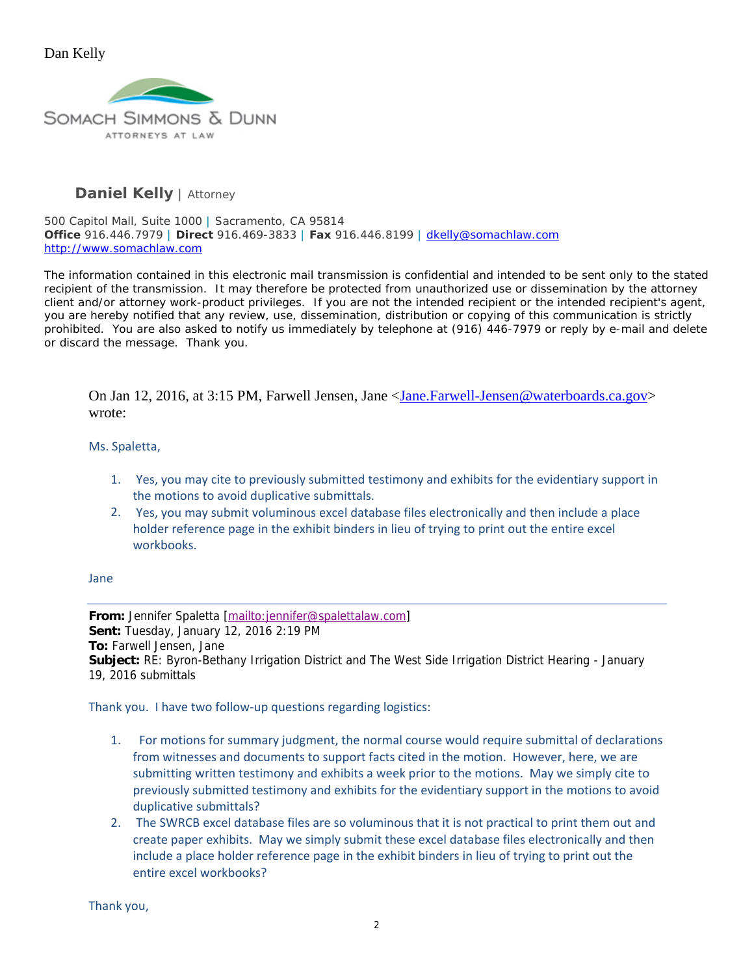

# **Daniel Kelly** | *Attorney*

500 Capitol Mall, Suite 1000 | Sacramento, CA 95814 **Office** 916.446.7979 | **Direct** 916.469-3833 | **Fax** 916.446.8199 | dkelly@somachlaw.com http://www.somachlaw.com

The information contained in this electronic mail transmission is confidential and intended to be sent only to the stated recipient of the transmission. It may therefore be protected from unauthorized use or dissemination by the attorney client and/or attorney work-product privileges. If you are not the intended recipient or the intended recipient's agent, you are hereby notified that any review, use, dissemination, distribution or copying of this communication is strictly prohibited. You are also asked to notify us immediately by telephone at (916) 446-7979 or reply by e-mail and delete or discard the message. Thank you.

On Jan 12, 2016, at 3:15 PM, Farwell Jensen, Jane <Jane.Farwell-Jensen@waterboards.ca.gov> wrote:

### Ms. Spaletta,

- 1. Yes, you may cite to previously submitted testimony and exhibits for the evidentiary support in the motions to avoid duplicative submittals.
- 2. Yes, you may submit voluminous excel database files electronically and then include a place holder reference page in the exhibit binders in lieu of trying to print out the entire excel workbooks.

#### Jane

**From:** Jennifer Spaletta [mailto:jennifer@spalettalaw.com] **Sent:** Tuesday, January 12, 2016 2:19 PM **To:** Farwell Jensen, Jane **Subject:** RE: Byron-Bethany Irrigation District and The West Side Irrigation District Hearing - January 19, 2016 submittals

Thank you. I have two follow‐up questions regarding logistics:

- 1. For motions for summary judgment, the normal course would require submittal of declarations from witnesses and documents to support facts cited in the motion. However, here, we are submitting written testimony and exhibits a week prior to the motions. May we simply cite to previously submitted testimony and exhibits for the evidentiary support in the motions to avoid duplicative submittals?
- 2. The SWRCB excel database files are so voluminous that it is not practical to print them out and create paper exhibits. May we simply submit these excel database files electronically and then include a place holder reference page in the exhibit binders in lieu of trying to print out the entire excel workbooks?

Thank you,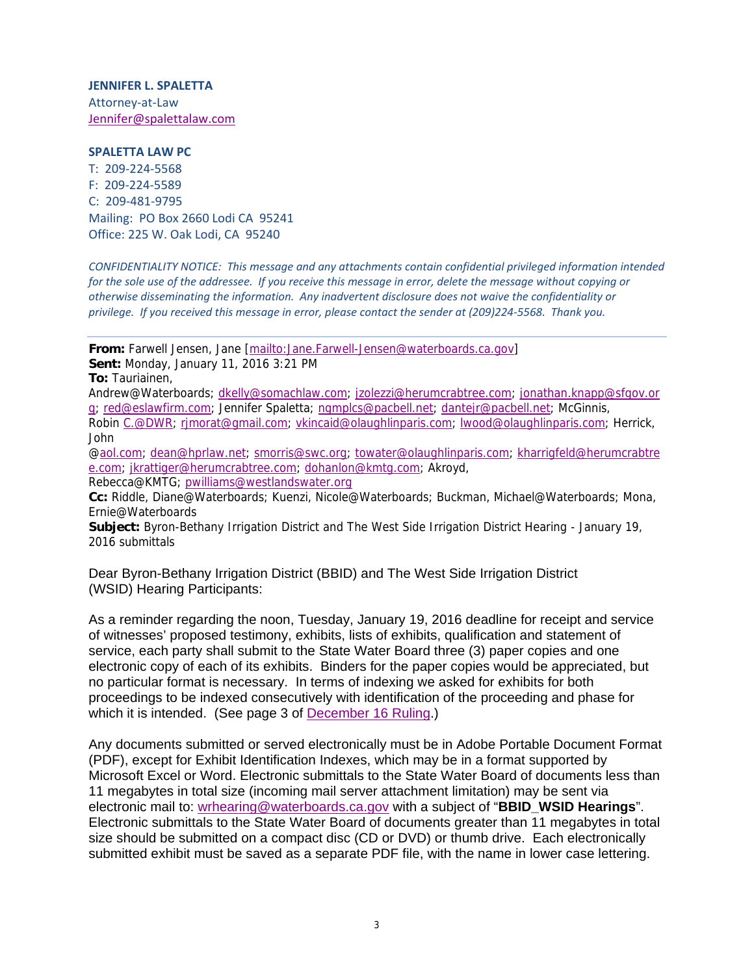**JENNIFER L. SPALETTA** Attorney‐at‐Law Jennifer@spalettalaw.com

#### **SPALETTA LAW PC**

T: 209‐224‐5568 F: 209‐224‐5589 C: 209‐481‐9795 Mailing: PO Box 2660 Lodi CA 95241 Office: 225 W. Oak Lodi, CA 95240

*CONFIDENTIALITY NOTICE: This message and any attachments contain confidential privileged information intended* for the sole use of the addressee. If you receive this message in error, delete the message without copying or *otherwise disseminating the information. Any inadvertent disclosure does not waive the confidentiality or* privilege. If you received this message in error, please contact the sender at (209)224-5568. Thank you.

**From:** Farwell Jensen, Jane [mailto:Jane.Farwell-Jensen@waterboards.ca.gov] **Sent:** Monday, January 11, 2016 3:21 PM

**To:** Tauriainen,

Andrew@Waterboards; dkelly@somachlaw.com; jzolezzi@herumcrabtree.com; jonathan.knapp@sfgov.or g; red@eslawfirm.com; Jennifer Spaletta; ngmplcs@pacbell.net; dantejr@pacbell.net; McGinnis,

Robin C.@DWR; rjmorat@gmail.com; vkincaid@olaughlinparis.com; lwood@olaughlinparis.com; Herrick, John

@aol.com; dean@hprlaw.net; smorris@swc.org; towater@olaughlinparis.com; kharrigfeld@herumcrabtre e.com; jkrattiger@herumcrabtree.com; dohanlon@kmtg.com; Akroyd, Rebecca@KMTG; pwilliams@westlandswater.org

**Cc:** Riddle, Diane@Waterboards; Kuenzi, Nicole@Waterboards; Buckman, Michael@Waterboards; Mona, Ernie@Waterboards

**Subject:** Byron-Bethany Irrigation District and The West Side Irrigation District Hearing - January 19, 2016 submittals

Dear Byron-Bethany Irrigation District (BBID) and The West Side Irrigation District (WSID) Hearing Participants:

As a reminder regarding the noon, Tuesday, January 19, 2016 deadline for receipt and service of witnesses' proposed testimony, exhibits, lists of exhibits, qualification and statement of service, each party shall submit to the State Water Board three (3) paper copies and one electronic copy of each of its exhibits. Binders for the paper copies would be appreciated, but no particular format is necessary. In terms of indexing we asked for exhibits for both proceedings to be indexed consecutively with identification of the proceeding and phase for which it is intended. (See page 3 of December 16 Ruling.)

Any documents submitted or served electronically must be in Adobe Portable Document Format (PDF), except for Exhibit Identification Indexes, which may be in a format supported by Microsoft Excel or Word. Electronic submittals to the State Water Board of documents less than 11 megabytes in total size (incoming mail server attachment limitation) may be sent via electronic mail to: wrhearing@waterboards.ca.gov with a subject of "**BBID\_WSID Hearings**". Electronic submittals to the State Water Board of documents greater than 11 megabytes in total size should be submitted on a compact disc (CD or DVD) or thumb drive. Each electronically submitted exhibit must be saved as a separate PDF file, with the name in lower case lettering.